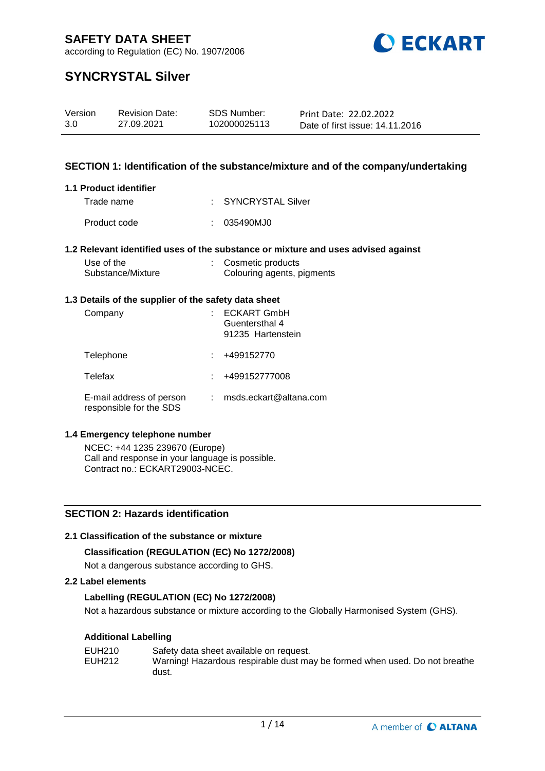

according to Regulation (EC) No. 1907/2006

# **SYNCRYSTAL Silver**

| Version | <b>Revision Date:</b> | SDS Number:  | Print Date: 22.02.2022          |
|---------|-----------------------|--------------|---------------------------------|
| 3.0     | 27.09.2021            | 102000025113 | Date of first issue: 14.11.2016 |

### **SECTION 1: Identification of the substance/mixture and of the company/undertaking**

#### **1.1 Product identifier**

| Trade name   | : SYNCRYSTAL Silver |
|--------------|---------------------|
| Product code | : 035490MJ0         |

### **1.2 Relevant identified uses of the substance or mixture and uses advised against**

| Use of the        | : Cosmetic products        |
|-------------------|----------------------------|
| Substance/Mixture | Colouring agents, pigments |

#### **1.3 Details of the supplier of the safety data sheet**

| Company                                             | <b>ECKART GmbH</b><br>Guentersthal 4<br>91235 Hartenstein |
|-----------------------------------------------------|-----------------------------------------------------------|
| Telephone                                           | +499152770                                                |
| Telefax                                             | +499152777008                                             |
| E-mail address of person<br>responsible for the SDS | msds.eckart@altana.com                                    |

### **1.4 Emergency telephone number**

NCEC: +44 1235 239670 (Europe) Call and response in your language is possible. Contract no.: ECKART29003-NCEC.

## **SECTION 2: Hazards identification**

### **2.1 Classification of the substance or mixture**

### **Classification (REGULATION (EC) No 1272/2008)**

Not a dangerous substance according to GHS.

#### **2.2 Label elements**

### **Labelling (REGULATION (EC) No 1272/2008)**

Not a hazardous substance or mixture according to the Globally Harmonised System (GHS).

### **Additional Labelling**

| EUH210 | Safety data sheet available on request.                                    |
|--------|----------------------------------------------------------------------------|
| EUH212 | Warning! Hazardous respirable dust may be formed when used. Do not breathe |
|        | dust.                                                                      |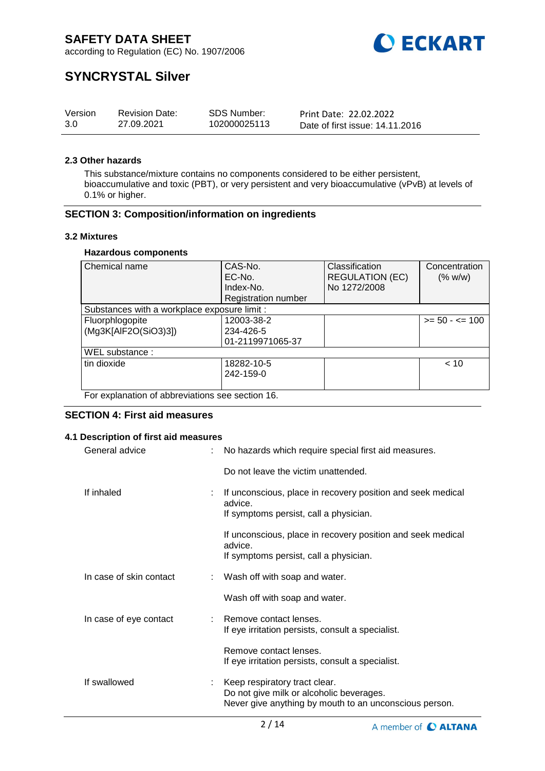

according to Regulation (EC) No. 1907/2006

# **SYNCRYSTAL Silver**

| Version | <b>Revision Date:</b> | SDS Number:  | Print Date: 22.02.2022          |
|---------|-----------------------|--------------|---------------------------------|
| 3.0     | 27.09.2021            | 102000025113 | Date of first issue: 14.11.2016 |

### **2.3 Other hazards**

This substance/mixture contains no components considered to be either persistent, bioaccumulative and toxic (PBT), or very persistent and very bioaccumulative (vPvB) at levels of 0.1% or higher.

### **SECTION 3: Composition/information on ingredients**

#### **3.2 Mixtures**

#### **Hazardous components**

| Chemical name                                    | CAS-No.<br>EC-No.          | Classification<br><b>REGULATION (EC)</b> | Concentration<br>(% w/w) |  |  |  |
|--------------------------------------------------|----------------------------|------------------------------------------|--------------------------|--|--|--|
|                                                  | Index-No.                  | No 1272/2008                             |                          |  |  |  |
|                                                  | <b>Registration number</b> |                                          |                          |  |  |  |
| Substances with a workplace exposure limit :     |                            |                                          |                          |  |  |  |
| Fluorphlogopite                                  | 12003-38-2                 |                                          | $>= 50 - 5 = 100$        |  |  |  |
| (Mg3K[AlF2O(SiO3)3])                             | 234-426-5                  |                                          |                          |  |  |  |
|                                                  | 01-2119971065-37           |                                          |                          |  |  |  |
| WEL substance:                                   |                            |                                          |                          |  |  |  |
| tin dioxide                                      | 18282-10-5                 |                                          | < 10                     |  |  |  |
|                                                  | 242-159-0                  |                                          |                          |  |  |  |
|                                                  |                            |                                          |                          |  |  |  |
| For explanation of abbreviations see section 16. |                            |                                          |                          |  |  |  |

### **SECTION 4: First aid measures**

### **4.1 Description of first aid measures**

| General advice          | No hazards which require special first aid measures.                                                                                |  |
|-------------------------|-------------------------------------------------------------------------------------------------------------------------------------|--|
|                         | Do not leave the victim unattended.                                                                                                 |  |
| If inhaled              | If unconscious, place in recovery position and seek medical<br>advice.<br>If symptoms persist, call a physician.                    |  |
|                         | If unconscious, place in recovery position and seek medical<br>advice.<br>If symptoms persist, call a physician.                    |  |
| In case of skin contact | Wash off with soap and water.                                                                                                       |  |
|                         | Wash off with soap and water.                                                                                                       |  |
| In case of eye contact  | : Remove contact lenses.<br>If eye irritation persists, consult a specialist.                                                       |  |
|                         | Remove contact lenses.<br>If eye irritation persists, consult a specialist.                                                         |  |
| If swallowed            | Keep respiratory tract clear.<br>Do not give milk or alcoholic beverages.<br>Never give anything by mouth to an unconscious person. |  |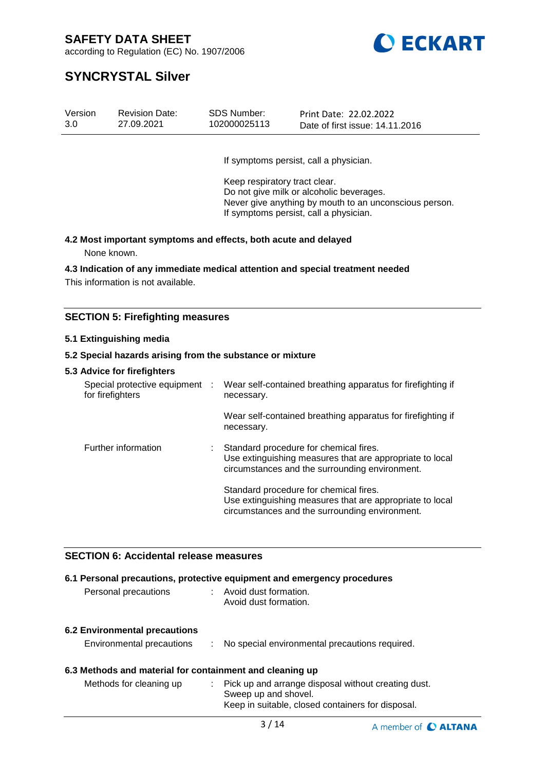

according to Regulation (EC) No. 1907/2006

# **SYNCRYSTAL Silver**

| 3.0<br>27.09.2021<br>102000025113<br>Date of first issue: 14.11.2016 | Version<br>SDS Number:<br><b>Revision Date:</b> | Print Date: 22.02.2022 |
|----------------------------------------------------------------------|-------------------------------------------------|------------------------|
|----------------------------------------------------------------------|-------------------------------------------------|------------------------|

If symptoms persist, call a physician.

Keep respiratory tract clear. Do not give milk or alcoholic beverages. Never give anything by mouth to an unconscious person. If symptoms persist, call a physician.

# **4.2 Most important symptoms and effects, both acute and delayed**

None known.

### **4.3 Indication of any immediate medical attention and special treatment needed**

This information is not available.

## **SECTION 5: Firefighting measures**

#### **5.1 Extinguishing media**

#### **5.2 Special hazards arising from the substance or mixture**

#### **5.3 Advice for firefighters**

| Special protective equipment<br>for firefighters | ÷ | Wear self-contained breathing apparatus for firefighting if<br>necessary.                                                                            |
|--------------------------------------------------|---|------------------------------------------------------------------------------------------------------------------------------------------------------|
|                                                  |   | Wear self-contained breathing apparatus for firefighting if<br>necessary.                                                                            |
| Further information                              |   | Standard procedure for chemical fires.<br>Use extinguishing measures that are appropriate to local<br>circumstances and the surrounding environment. |
|                                                  |   | Standard procedure for chemical fires.<br>Use extinguishing measures that are appropriate to local<br>circumstances and the surrounding environment. |

# **SECTION 6: Accidental release measures**

| Personal precautions                                                                |    | 6.1 Personal precautions, protective equipment and emergency procedures<br>: Avoid dust formation.<br>Avoid dust formation.      |
|-------------------------------------------------------------------------------------|----|----------------------------------------------------------------------------------------------------------------------------------|
| <b>6.2 Environmental precautions</b><br>Environmental precautions                   | ÷. | No special environmental precautions required.                                                                                   |
| 6.3 Methods and material for containment and cleaning up<br>Methods for cleaning up | ÷. | Pick up and arrange disposal without creating dust.<br>Sweep up and shovel.<br>Keep in suitable, closed containers for disposal. |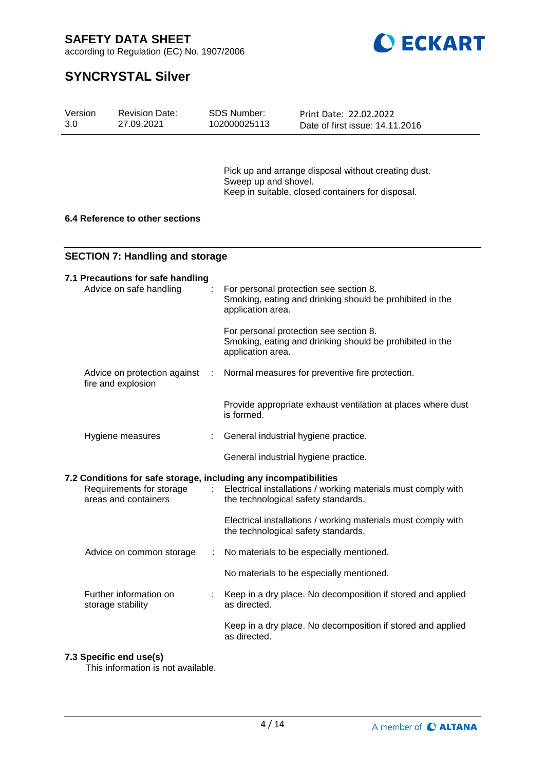

according to Regulation (EC) No. 1907/2006

# **SYNCRYSTAL Silver**

| Version<br>3.0 |                                        | <b>Revision Date:</b><br>27.09.2021                                                                                  |      | <b>SDS Number:</b><br>102000025113   | Print Date: 22.02.2022<br>Date of first issue: 14.11.2016                                                |  |  |
|----------------|----------------------------------------|----------------------------------------------------------------------------------------------------------------------|------|--------------------------------------|----------------------------------------------------------------------------------------------------------|--|--|
|                |                                        |                                                                                                                      |      | Sweep up and shovel.                 | Pick up and arrange disposal without creating dust.<br>Keep in suitable, closed containers for disposal. |  |  |
|                | 6.4 Reference to other sections        |                                                                                                                      |      |                                      |                                                                                                          |  |  |
|                | <b>SECTION 7: Handling and storage</b> |                                                                                                                      |      |                                      |                                                                                                          |  |  |
|                |                                        | 7.1 Precautions for safe handling<br>Advice on safe handling                                                         |      | application area.                    | For personal protection see section 8.<br>Smoking, eating and drinking should be prohibited in the       |  |  |
|                |                                        |                                                                                                                      |      | application area.                    | For personal protection see section 8.<br>Smoking, eating and drinking should be prohibited in the       |  |  |
|                |                                        | Advice on protection against<br>fire and explosion                                                                   | - 11 |                                      | Normal measures for preventive fire protection.                                                          |  |  |
|                |                                        |                                                                                                                      |      | is formed.                           | Provide appropriate exhaust ventilation at places where dust                                             |  |  |
|                |                                        | Hygiene measures                                                                                                     |      | General industrial hygiene practice. |                                                                                                          |  |  |
|                |                                        |                                                                                                                      |      | General industrial hygiene practice. |                                                                                                          |  |  |
|                |                                        | 7.2 Conditions for safe storage, including any incompatibilities<br>Requirements for storage<br>areas and containers | ÷.   | the technological safety standards.  | Electrical installations / working materials must comply with                                            |  |  |
|                |                                        |                                                                                                                      |      | the technological safety standards.  | Electrical installations / working materials must comply with                                            |  |  |
|                |                                        | Advice on common storage                                                                                             | ÷    |                                      | No materials to be especially mentioned.                                                                 |  |  |
|                |                                        |                                                                                                                      |      |                                      | No materials to be especially mentioned.                                                                 |  |  |
|                |                                        | Further information on<br>storage stability                                                                          |      | as directed.                         | Keep in a dry place. No decomposition if stored and applied                                              |  |  |
|                |                                        |                                                                                                                      |      | as directed.                         | Keep in a dry place. No decomposition if stored and applied                                              |  |  |

### **7.3 Specific end use(s)**

This information is not available.

4 / 14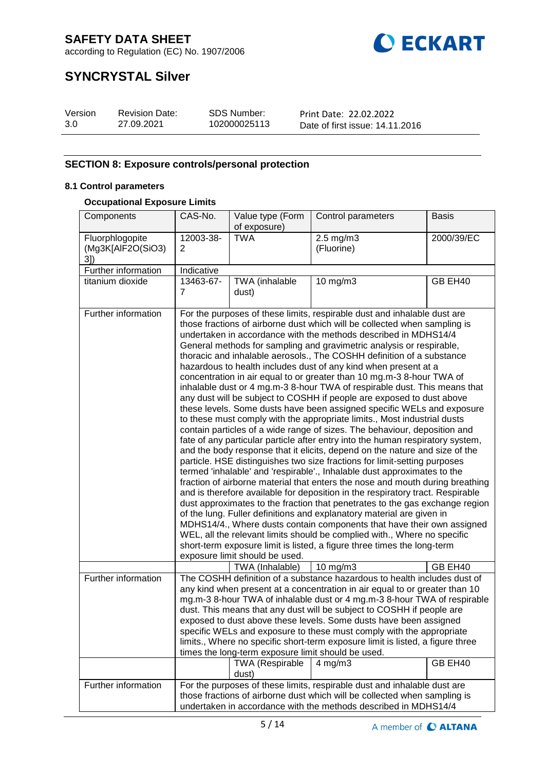



# **SYNCRYSTAL Silver**

| Version | <b>Revision Date:</b> | <b>SDS Number:</b> | Print Date: 22.02.2022          |
|---------|-----------------------|--------------------|---------------------------------|
| 3.0     | 27.09.2021            | 102000025113       | Date of first issue: 14.11.2016 |

# **SECTION 8: Exposure controls/personal protection**

## **8.1 Control parameters**

### **Occupational Exposure Limits**

| Components                                  | CAS-No.                                                                                                                                                                                                                                                                                                                                                                                                                                                                                                                                                                                                                                     | Value type (Form<br>of exposure)                                                                                                                                                                                                                                                                                                                                                                                                                                                                                                                                                                                                                                                                                                                                                                                                                                                                                                                                                                                                                                                                                                                                                                                                                                                                                                                                                                                                                                                                                                                                                                                                                                                                                                                                                                      | Control parameters                                                                                                                                                                                                       | <b>Basis</b> |  |  |
|---------------------------------------------|---------------------------------------------------------------------------------------------------------------------------------------------------------------------------------------------------------------------------------------------------------------------------------------------------------------------------------------------------------------------------------------------------------------------------------------------------------------------------------------------------------------------------------------------------------------------------------------------------------------------------------------------|-------------------------------------------------------------------------------------------------------------------------------------------------------------------------------------------------------------------------------------------------------------------------------------------------------------------------------------------------------------------------------------------------------------------------------------------------------------------------------------------------------------------------------------------------------------------------------------------------------------------------------------------------------------------------------------------------------------------------------------------------------------------------------------------------------------------------------------------------------------------------------------------------------------------------------------------------------------------------------------------------------------------------------------------------------------------------------------------------------------------------------------------------------------------------------------------------------------------------------------------------------------------------------------------------------------------------------------------------------------------------------------------------------------------------------------------------------------------------------------------------------------------------------------------------------------------------------------------------------------------------------------------------------------------------------------------------------------------------------------------------------------------------------------------------------|--------------------------------------------------------------------------------------------------------------------------------------------------------------------------------------------------------------------------|--------------|--|--|
| Fluorphlogopite<br>(Mg3K[AlF2O(SiO3)<br>3]) | 12003-38-<br>2                                                                                                                                                                                                                                                                                                                                                                                                                                                                                                                                                                                                                              | <b>TWA</b>                                                                                                                                                                                                                                                                                                                                                                                                                                                                                                                                                                                                                                                                                                                                                                                                                                                                                                                                                                                                                                                                                                                                                                                                                                                                                                                                                                                                                                                                                                                                                                                                                                                                                                                                                                                            | $2.5$ mg/m $3$<br>(Fluorine)                                                                                                                                                                                             | 2000/39/EC   |  |  |
| Further information                         | Indicative                                                                                                                                                                                                                                                                                                                                                                                                                                                                                                                                                                                                                                  |                                                                                                                                                                                                                                                                                                                                                                                                                                                                                                                                                                                                                                                                                                                                                                                                                                                                                                                                                                                                                                                                                                                                                                                                                                                                                                                                                                                                                                                                                                                                                                                                                                                                                                                                                                                                       |                                                                                                                                                                                                                          |              |  |  |
| titanium dioxide                            | 13463-67-<br>7                                                                                                                                                                                                                                                                                                                                                                                                                                                                                                                                                                                                                              | TWA (inhalable<br>dust)                                                                                                                                                                                                                                                                                                                                                                                                                                                                                                                                                                                                                                                                                                                                                                                                                                                                                                                                                                                                                                                                                                                                                                                                                                                                                                                                                                                                                                                                                                                                                                                                                                                                                                                                                                               | $10$ mg/m $3$                                                                                                                                                                                                            | GB EH40      |  |  |
| Further information                         | exposure limit should be used.                                                                                                                                                                                                                                                                                                                                                                                                                                                                                                                                                                                                              | For the purposes of these limits, respirable dust and inhalable dust are<br>those fractions of airborne dust which will be collected when sampling is<br>undertaken in accordance with the methods described in MDHS14/4<br>General methods for sampling and gravimetric analysis or respirable,<br>thoracic and inhalable aerosols., The COSHH definition of a substance<br>hazardous to health includes dust of any kind when present at a<br>concentration in air equal to or greater than 10 mg.m-3 8-hour TWA of<br>inhalable dust or 4 mg.m-3 8-hour TWA of respirable dust. This means that<br>any dust will be subject to COSHH if people are exposed to dust above<br>these levels. Some dusts have been assigned specific WELs and exposure<br>to these must comply with the appropriate limits., Most industrial dusts<br>contain particles of a wide range of sizes. The behaviour, deposition and<br>fate of any particular particle after entry into the human respiratory system,<br>and the body response that it elicits, depend on the nature and size of the<br>particle. HSE distinguishes two size fractions for limit-setting purposes<br>termed 'inhalable' and 'respirable'., Inhalable dust approximates to the<br>fraction of airborne material that enters the nose and mouth during breathing<br>and is therefore available for deposition in the respiratory tract. Respirable<br>dust approximates to the fraction that penetrates to the gas exchange region<br>of the lung. Fuller definitions and explanatory material are given in<br>MDHS14/4., Where dusts contain components that have their own assigned<br>WEL, all the relevant limits should be complied with., Where no specific<br>short-term exposure limit is listed, a figure three times the long-term |                                                                                                                                                                                                                          |              |  |  |
| Further information                         | TWA (Inhalable)<br>10 mg/m3<br>GB EH40<br>The COSHH definition of a substance hazardous to health includes dust of<br>any kind when present at a concentration in air equal to or greater than 10<br>mg.m-3 8-hour TWA of inhalable dust or 4 mg.m-3 8-hour TWA of respirable<br>dust. This means that any dust will be subject to COSHH if people are<br>exposed to dust above these levels. Some dusts have been assigned<br>specific WELs and exposure to these must comply with the appropriate<br>limits., Where no specific short-term exposure limit is listed, a figure three<br>times the long-term exposure limit should be used. |                                                                                                                                                                                                                                                                                                                                                                                                                                                                                                                                                                                                                                                                                                                                                                                                                                                                                                                                                                                                                                                                                                                                                                                                                                                                                                                                                                                                                                                                                                                                                                                                                                                                                                                                                                                                       |                                                                                                                                                                                                                          |              |  |  |
|                                             |                                                                                                                                                                                                                                                                                                                                                                                                                                                                                                                                                                                                                                             | <b>TWA (Respirable</b><br>dust)                                                                                                                                                                                                                                                                                                                                                                                                                                                                                                                                                                                                                                                                                                                                                                                                                                                                                                                                                                                                                                                                                                                                                                                                                                                                                                                                                                                                                                                                                                                                                                                                                                                                                                                                                                       | $4$ mg/m $3$                                                                                                                                                                                                             | GB EH40      |  |  |
| Further information                         |                                                                                                                                                                                                                                                                                                                                                                                                                                                                                                                                                                                                                                             |                                                                                                                                                                                                                                                                                                                                                                                                                                                                                                                                                                                                                                                                                                                                                                                                                                                                                                                                                                                                                                                                                                                                                                                                                                                                                                                                                                                                                                                                                                                                                                                                                                                                                                                                                                                                       | For the purposes of these limits, respirable dust and inhalable dust are<br>those fractions of airborne dust which will be collected when sampling is<br>undertaken in accordance with the methods described in MDHS14/4 |              |  |  |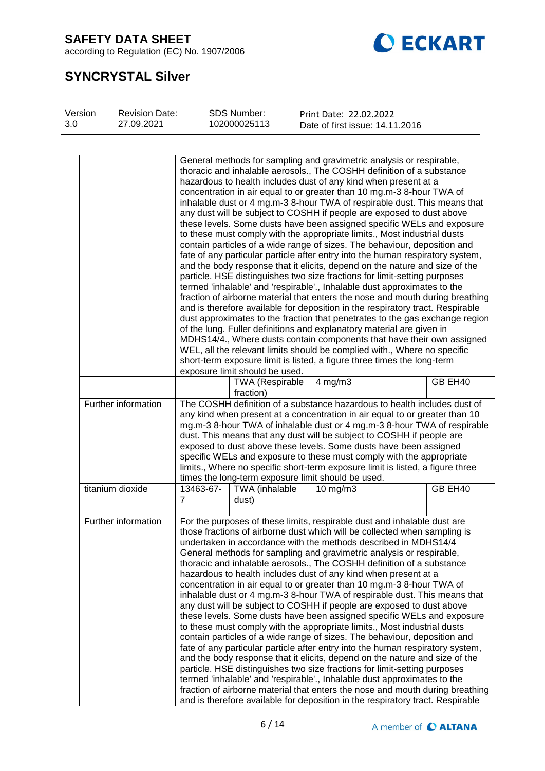according to Regulation (EC) No. 1907/2006



# **SYNCRYSTAL Silver**

| Version<br><b>Revision Date:</b><br>3.0<br>27.09.2021 |                     |                                                                                                                                                                                                                                                                                                                                                                                                                                                                                                                                                                                                                                                                                                                                                                                                                                                                                                                                                                                                                                                                                                                                                                                                                                                                                                                                                                                                                                                                                                                                                                           | <b>SDS Number:</b><br>102000025113                             | Print Date: 22.02.2022<br>Date of first issue: 14.11.2016                                                                                                                                                                                                                                                                                                                                                                                                                                                                                                                                                                                                                                                                                                                                                                                                                                                                                                                                                                                                                                                                                                                                                                                                                                                                                                                                                   |  |  |  |
|-------------------------------------------------------|---------------------|---------------------------------------------------------------------------------------------------------------------------------------------------------------------------------------------------------------------------------------------------------------------------------------------------------------------------------------------------------------------------------------------------------------------------------------------------------------------------------------------------------------------------------------------------------------------------------------------------------------------------------------------------------------------------------------------------------------------------------------------------------------------------------------------------------------------------------------------------------------------------------------------------------------------------------------------------------------------------------------------------------------------------------------------------------------------------------------------------------------------------------------------------------------------------------------------------------------------------------------------------------------------------------------------------------------------------------------------------------------------------------------------------------------------------------------------------------------------------------------------------------------------------------------------------------------------------|----------------------------------------------------------------|-------------------------------------------------------------------------------------------------------------------------------------------------------------------------------------------------------------------------------------------------------------------------------------------------------------------------------------------------------------------------------------------------------------------------------------------------------------------------------------------------------------------------------------------------------------------------------------------------------------------------------------------------------------------------------------------------------------------------------------------------------------------------------------------------------------------------------------------------------------------------------------------------------------------------------------------------------------------------------------------------------------------------------------------------------------------------------------------------------------------------------------------------------------------------------------------------------------------------------------------------------------------------------------------------------------------------------------------------------------------------------------------------------------|--|--|--|
|                                                       |                     | General methods for sampling and gravimetric analysis or respirable,<br>thoracic and inhalable aerosols., The COSHH definition of a substance<br>hazardous to health includes dust of any kind when present at a<br>concentration in air equal to or greater than 10 mg.m-3 8-hour TWA of<br>inhalable dust or 4 mg.m-3 8-hour TWA of respirable dust. This means that<br>any dust will be subject to COSHH if people are exposed to dust above<br>these levels. Some dusts have been assigned specific WELs and exposure<br>to these must comply with the appropriate limits., Most industrial dusts<br>contain particles of a wide range of sizes. The behaviour, deposition and<br>fate of any particular particle after entry into the human respiratory system,<br>and the body response that it elicits, depend on the nature and size of the<br>particle. HSE distinguishes two size fractions for limit-setting purposes<br>termed 'inhalable' and 'respirable'., Inhalable dust approximates to the<br>fraction of airborne material that enters the nose and mouth during breathing<br>and is therefore available for deposition in the respiratory tract. Respirable<br>dust approximates to the fraction that penetrates to the gas exchange region<br>of the lung. Fuller definitions and explanatory material are given in<br>MDHS14/4., Where dusts contain components that have their own assigned<br>WEL, all the relevant limits should be complied with., Where no specific<br>short-term exposure limit is listed, a figure three times the long-term |                                                                |                                                                                                                                                                                                                                                                                                                                                                                                                                                                                                                                                                                                                                                                                                                                                                                                                                                                                                                                                                                                                                                                                                                                                                                                                                                                                                                                                                                                             |  |  |  |
|                                                       |                     |                                                                                                                                                                                                                                                                                                                                                                                                                                                                                                                                                                                                                                                                                                                                                                                                                                                                                                                                                                                                                                                                                                                                                                                                                                                                                                                                                                                                                                                                                                                                                                           | exposure limit should be used.<br>TWA (Respirable<br>fraction) | $4$ mg/m $3$<br>GB EH40                                                                                                                                                                                                                                                                                                                                                                                                                                                                                                                                                                                                                                                                                                                                                                                                                                                                                                                                                                                                                                                                                                                                                                                                                                                                                                                                                                                     |  |  |  |
|                                                       | Further information | The COSHH definition of a substance hazardous to health includes dust of<br>any kind when present at a concentration in air equal to or greater than 10<br>mg.m-3 8-hour TWA of inhalable dust or 4 mg.m-3 8-hour TWA of respirable<br>dust. This means that any dust will be subject to COSHH if people are<br>exposed to dust above these levels. Some dusts have been assigned<br>specific WELs and exposure to these must comply with the appropriate<br>limits., Where no specific short-term exposure limit is listed, a figure three<br>times the long-term exposure limit should be used.                                                                                                                                                                                                                                                                                                                                                                                                                                                                                                                                                                                                                                                                                                                                                                                                                                                                                                                                                                         |                                                                |                                                                                                                                                                                                                                                                                                                                                                                                                                                                                                                                                                                                                                                                                                                                                                                                                                                                                                                                                                                                                                                                                                                                                                                                                                                                                                                                                                                                             |  |  |  |
|                                                       | titanium dioxide    | 13463-67-<br>$\overline{7}$                                                                                                                                                                                                                                                                                                                                                                                                                                                                                                                                                                                                                                                                                                                                                                                                                                                                                                                                                                                                                                                                                                                                                                                                                                                                                                                                                                                                                                                                                                                                               | TWA (inhalable<br>dust)                                        | GB EH40<br>$10$ mg/m $3$                                                                                                                                                                                                                                                                                                                                                                                                                                                                                                                                                                                                                                                                                                                                                                                                                                                                                                                                                                                                                                                                                                                                                                                                                                                                                                                                                                                    |  |  |  |
|                                                       | Further information |                                                                                                                                                                                                                                                                                                                                                                                                                                                                                                                                                                                                                                                                                                                                                                                                                                                                                                                                                                                                                                                                                                                                                                                                                                                                                                                                                                                                                                                                                                                                                                           |                                                                | For the purposes of these limits, respirable dust and inhalable dust are<br>those fractions of airborne dust which will be collected when sampling is<br>undertaken in accordance with the methods described in MDHS14/4<br>General methods for sampling and gravimetric analysis or respirable,<br>thoracic and inhalable aerosols., The COSHH definition of a substance<br>hazardous to health includes dust of any kind when present at a<br>concentration in air equal to or greater than 10 mg.m-3 8-hour TWA of<br>inhalable dust or 4 mg.m-3 8-hour TWA of respirable dust. This means that<br>any dust will be subject to COSHH if people are exposed to dust above<br>these levels. Some dusts have been assigned specific WELs and exposure<br>to these must comply with the appropriate limits., Most industrial dusts<br>contain particles of a wide range of sizes. The behaviour, deposition and<br>fate of any particular particle after entry into the human respiratory system,<br>and the body response that it elicits, depend on the nature and size of the<br>particle. HSE distinguishes two size fractions for limit-setting purposes<br>termed 'inhalable' and 'respirable'., Inhalable dust approximates to the<br>fraction of airborne material that enters the nose and mouth during breathing<br>and is therefore available for deposition in the respiratory tract. Respirable |  |  |  |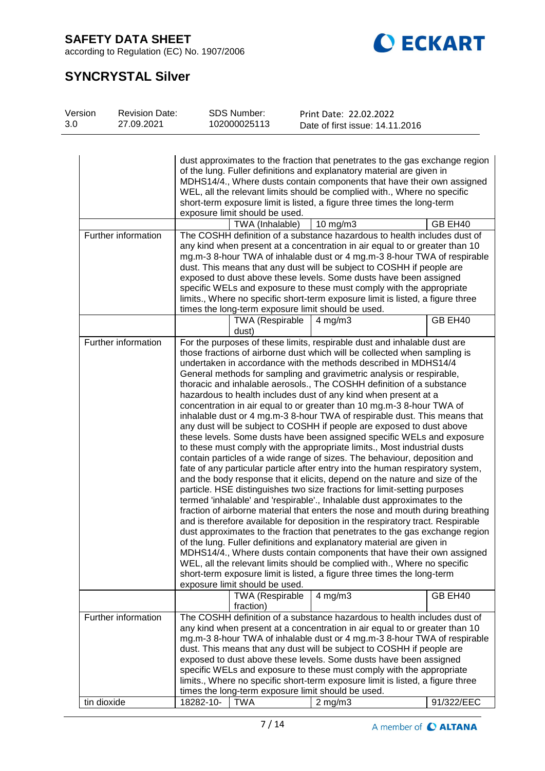according to Regulation (EC) No. 1907/2006



# **SYNCRYSTAL Silver**

| Version<br>SDS Number:<br><b>Revision Date:</b><br>3.0<br>102000025113<br>27.09.2021 | Print Date: 22.02.2022<br>Date of first issue: 14.11.2016 |
|--------------------------------------------------------------------------------------|-----------------------------------------------------------|
|--------------------------------------------------------------------------------------|-----------------------------------------------------------|

| Further information                | dust approximates to the fraction that penetrates to the gas exchange region<br>of the lung. Fuller definitions and explanatory material are given in<br>MDHS14/4., Where dusts contain components that have their own assigned<br>WEL, all the relevant limits should be complied with., Where no specific<br>short-term exposure limit is listed, a figure three times the long-term<br>exposure limit should be used.<br>TWA (Inhalable)<br>$10$ mg/m $3$<br>GB EH40<br>The COSHH definition of a substance hazardous to health includes dust of<br>any kind when present at a concentration in air equal to or greater than 10<br>mg.m-3 8-hour TWA of inhalable dust or 4 mg.m-3 8-hour TWA of respirable<br>dust. This means that any dust will be subject to COSHH if people are<br>exposed to dust above these levels. Some dusts have been assigned<br>specific WELs and exposure to these must comply with the appropriate                                                                                                                                                                                                                                                                                                                                                                                                                                                                                                                                                                                                                                                                                                                                                                                                                                                                                                             |                                                                              |                                                                                |         |  |  |  |
|------------------------------------|--------------------------------------------------------------------------------------------------------------------------------------------------------------------------------------------------------------------------------------------------------------------------------------------------------------------------------------------------------------------------------------------------------------------------------------------------------------------------------------------------------------------------------------------------------------------------------------------------------------------------------------------------------------------------------------------------------------------------------------------------------------------------------------------------------------------------------------------------------------------------------------------------------------------------------------------------------------------------------------------------------------------------------------------------------------------------------------------------------------------------------------------------------------------------------------------------------------------------------------------------------------------------------------------------------------------------------------------------------------------------------------------------------------------------------------------------------------------------------------------------------------------------------------------------------------------------------------------------------------------------------------------------------------------------------------------------------------------------------------------------------------------------------------------------------------------------------------------------|------------------------------------------------------------------------------|--------------------------------------------------------------------------------|---------|--|--|--|
|                                    |                                                                                                                                                                                                                                                                                                                                                                                                                                                                                                                                                                                                                                                                                                                                                                                                                                                                                                                                                                                                                                                                                                                                                                                                                                                                                                                                                                                                                                                                                                                                                                                                                                                                                                                                                                                                                                                  |                                                                              | limits., Where no specific short-term exposure limit is listed, a figure three |         |  |  |  |
|                                    |                                                                                                                                                                                                                                                                                                                                                                                                                                                                                                                                                                                                                                                                                                                                                                                                                                                                                                                                                                                                                                                                                                                                                                                                                                                                                                                                                                                                                                                                                                                                                                                                                                                                                                                                                                                                                                                  | times the long-term exposure limit should be used.<br><b>TWA (Respirable</b> | $4$ mg/m $3$                                                                   | GB EH40 |  |  |  |
| Further information                | dust)<br>For the purposes of these limits, respirable dust and inhalable dust are<br>those fractions of airborne dust which will be collected when sampling is<br>undertaken in accordance with the methods described in MDHS14/4<br>General methods for sampling and gravimetric analysis or respirable,<br>thoracic and inhalable aerosols., The COSHH definition of a substance<br>hazardous to health includes dust of any kind when present at a<br>concentration in air equal to or greater than 10 mg.m-3 8-hour TWA of<br>inhalable dust or 4 mg.m-3 8-hour TWA of respirable dust. This means that<br>any dust will be subject to COSHH if people are exposed to dust above<br>these levels. Some dusts have been assigned specific WELs and exposure<br>to these must comply with the appropriate limits., Most industrial dusts<br>contain particles of a wide range of sizes. The behaviour, deposition and<br>fate of any particular particle after entry into the human respiratory system,<br>and the body response that it elicits, depend on the nature and size of the<br>particle. HSE distinguishes two size fractions for limit-setting purposes<br>termed 'inhalable' and 'respirable'., Inhalable dust approximates to the<br>fraction of airborne material that enters the nose and mouth during breathing<br>and is therefore available for deposition in the respiratory tract. Respirable<br>dust approximates to the fraction that penetrates to the gas exchange region<br>of the lung. Fuller definitions and explanatory material are given in<br>MDHS14/4., Where dusts contain components that have their own assigned<br>WEL, all the relevant limits should be complied with., Where no specific<br>short-term exposure limit is listed, a figure three times the long-term<br>exposure limit should be used. |                                                                              |                                                                                |         |  |  |  |
|                                    |                                                                                                                                                                                                                                                                                                                                                                                                                                                                                                                                                                                                                                                                                                                                                                                                                                                                                                                                                                                                                                                                                                                                                                                                                                                                                                                                                                                                                                                                                                                                                                                                                                                                                                                                                                                                                                                  | fraction)                                                                    |                                                                                |         |  |  |  |
| Further information<br>tin dioxide | The COSHH definition of a substance hazardous to health includes dust of<br>any kind when present at a concentration in air equal to or greater than 10<br>mg.m-3 8-hour TWA of inhalable dust or 4 mg.m-3 8-hour TWA of respirable<br>dust. This means that any dust will be subject to COSHH if people are<br>exposed to dust above these levels. Some dusts have been assigned<br>specific WELs and exposure to these must comply with the appropriate<br>limits., Where no specific short-term exposure limit is listed, a figure three<br>times the long-term exposure limit should be used.<br>18282-10-<br><b>TWA</b><br>91/322/EEC<br>$2$ mg/m $3$                                                                                                                                                                                                                                                                                                                                                                                                                                                                                                                                                                                                                                                                                                                                                                                                                                                                                                                                                                                                                                                                                                                                                                                       |                                                                              |                                                                                |         |  |  |  |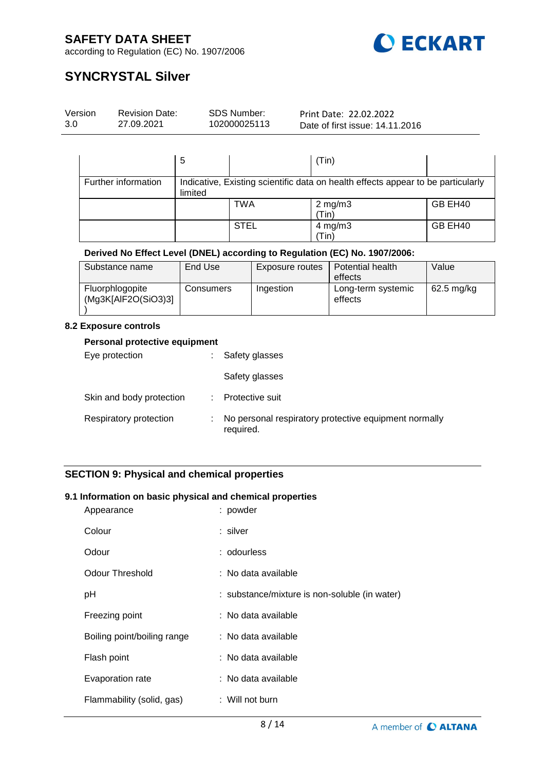

according to Regulation (EC) No. 1907/2006

# **SYNCRYSTAL Silver**

| Version | <b>Revision Date:</b> | SDS Number:  | Print Date: 22.02.2022          |  |
|---------|-----------------------|--------------|---------------------------------|--|
| 3.0     | 27.09.2021            | 102000025113 | Date of first issue: 14.11.2016 |  |
|         |                       |              |                                 |  |

|                     | 5       |             | (Tin)                                                                            |         |
|---------------------|---------|-------------|----------------------------------------------------------------------------------|---------|
| Further information | limited |             | Indicative, Existing scientific data on health effects appear to be particularly |         |
|                     |         | TWA         | $2$ mg/m $3$<br>(Tin)                                                            | GB EH40 |
|                     |         | <b>STEL</b> | $4$ mg/m $3$<br>'Tin)                                                            | GB EH40 |

### **Derived No Effect Level (DNEL) according to Regulation (EC) No. 1907/2006:**

| Substance name                         | End Use   | Exposure routes | Potential health<br>effects   | Value        |
|----------------------------------------|-----------|-----------------|-------------------------------|--------------|
| Fluorphlogopite<br>(Mg3K[AlF2O(SiO3)3] | Consumers | Ingestion       | Long-term systemic<br>effects | $62.5$ mg/kg |

#### **8.2 Exposure controls**

#### **Personal protective equipment**

| Eye protection           | <b>All Control</b> | Safety glasses                                                     |
|--------------------------|--------------------|--------------------------------------------------------------------|
|                          |                    | Safety glasses                                                     |
| Skin and body protection |                    | Protective suit                                                    |
| Respiratory protection   | ٠.                 | No personal respiratory protective equipment normally<br>required. |

## **SECTION 9: Physical and chemical properties**

### **9.1 Information on basic physical and chemical properties**

| Appearance                  | : powder                                      |
|-----------------------------|-----------------------------------------------|
| Colour                      | : silver                                      |
| Odour                       | : odourless                                   |
| Odour Threshold             | : No data available                           |
| pH                          | : substance/mixture is non-soluble (in water) |
| Freezing point              | : No data available                           |
| Boiling point/boiling range | : No data available                           |
| Flash point                 | : No data available                           |
| Evaporation rate            | : No data available                           |
| Flammability (solid, gas)   | : Will not burn                               |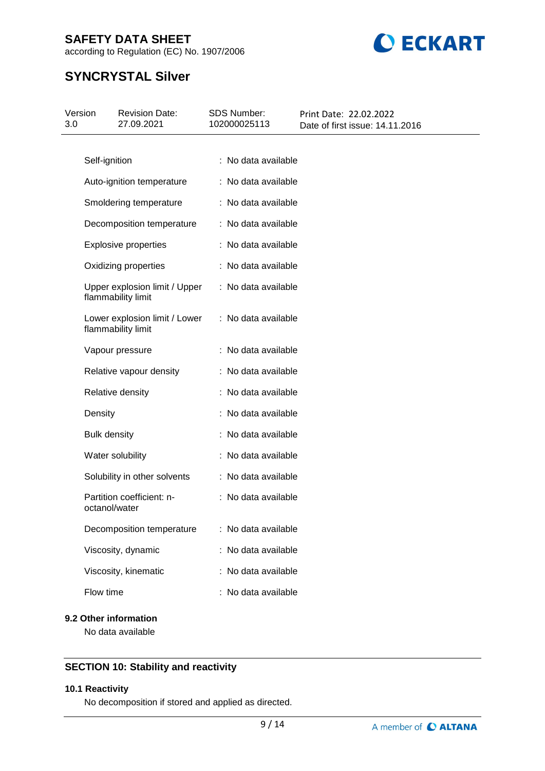according to Regulation (EC) No. 1907/2006



# **SYNCRYSTAL Silver**

| Version<br>3.0 |                     | <b>Revision Date:</b><br>27.09.2021                 | <b>SDS Number:</b><br>102000025113 | Print Date: 22.02.2022<br>Date of first issue: 14.11.2016 |
|----------------|---------------------|-----------------------------------------------------|------------------------------------|-----------------------------------------------------------|
|                |                     |                                                     |                                    |                                                           |
|                | Self-ignition       |                                                     | : No data available                |                                                           |
|                |                     | Auto-ignition temperature                           | : No data available                |                                                           |
|                |                     | Smoldering temperature                              | : No data available                |                                                           |
|                |                     | Decomposition temperature                           | : No data available                |                                                           |
|                |                     | <b>Explosive properties</b>                         | : No data available                |                                                           |
|                |                     | Oxidizing properties                                | : No data available                |                                                           |
|                |                     | Upper explosion limit / Upper<br>flammability limit | : No data available                |                                                           |
|                |                     | Lower explosion limit / Lower<br>flammability limit | : No data available                |                                                           |
|                |                     | Vapour pressure                                     | : No data available                |                                                           |
|                |                     | Relative vapour density                             | : No data available                |                                                           |
|                |                     | Relative density                                    | : No data available                |                                                           |
|                | Density             |                                                     | : No data available                |                                                           |
|                | <b>Bulk density</b> |                                                     | : No data available                |                                                           |
|                |                     | Water solubility                                    | : No data available                |                                                           |
|                |                     | Solubility in other solvents                        | : No data available                |                                                           |
|                | octanol/water       | Partition coefficient: n-                           | : No data available                |                                                           |
|                |                     | Decomposition temperature                           | : No data available                |                                                           |
|                |                     | Viscosity, dynamic                                  | : No data available                |                                                           |
|                |                     | Viscosity, kinematic                                | : No data available                |                                                           |
|                | Flow time           |                                                     | : No data available                |                                                           |

# **9.2 Other information**

No data available

## **SECTION 10: Stability and reactivity**

#### **10.1 Reactivity**

No decomposition if stored and applied as directed.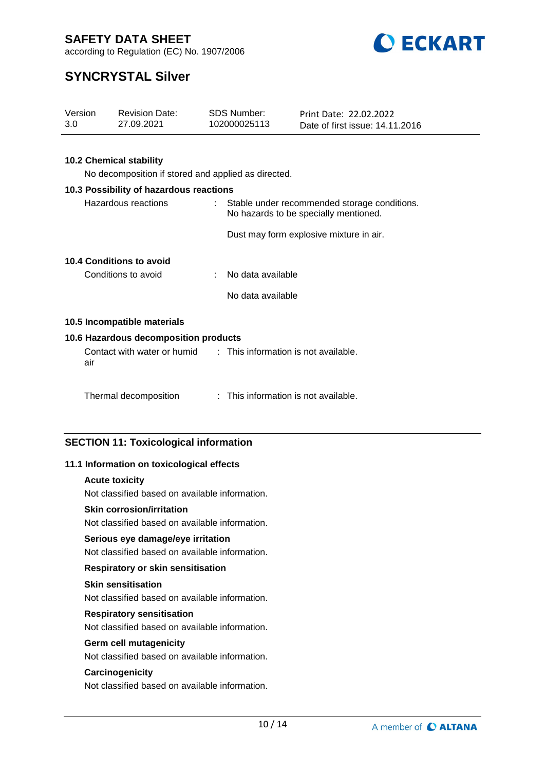



# **SYNCRYSTAL Silver**

| Version<br>3.0      |                                | <b>Revision Date:</b><br>27.09.2021                              |                                                                                       | <b>SDS Number:</b><br>102000025113   | Print Date: 22.02.2022<br>Date of first issue: 14.11.2016 |  |  |  |  |  |
|---------------------|--------------------------------|------------------------------------------------------------------|---------------------------------------------------------------------------------------|--------------------------------------|-----------------------------------------------------------|--|--|--|--|--|
|                     |                                |                                                                  |                                                                                       |                                      |                                                           |  |  |  |  |  |
|                     |                                |                                                                  |                                                                                       |                                      |                                                           |  |  |  |  |  |
|                     | <b>10.2 Chemical stability</b> |                                                                  |                                                                                       |                                      |                                                           |  |  |  |  |  |
|                     |                                | No decomposition if stored and applied as directed.              |                                                                                       |                                      |                                                           |  |  |  |  |  |
|                     |                                | 10.3 Possibility of hazardous reactions                          |                                                                                       |                                      |                                                           |  |  |  |  |  |
| Hazardous reactions |                                |                                                                  | Stable under recommended storage conditions.<br>No hazards to be specially mentioned. |                                      |                                                           |  |  |  |  |  |
|                     |                                |                                                                  |                                                                                       |                                      | Dust may form explosive mixture in air.                   |  |  |  |  |  |
|                     |                                | 10.4 Conditions to avoid                                         |                                                                                       |                                      |                                                           |  |  |  |  |  |
|                     |                                | Conditions to avoid                                              |                                                                                       | No data available                    |                                                           |  |  |  |  |  |
|                     |                                |                                                                  |                                                                                       | No data available                    |                                                           |  |  |  |  |  |
|                     |                                | 10.5 Incompatible materials                                      |                                                                                       |                                      |                                                           |  |  |  |  |  |
|                     |                                | 10.6 Hazardous decomposition products                            |                                                                                       |                                      |                                                           |  |  |  |  |  |
|                     | air                            | Contact with water or humid : This information is not available. |                                                                                       |                                      |                                                           |  |  |  |  |  |
|                     |                                | Thermal decomposition                                            |                                                                                       | : This information is not available. |                                                           |  |  |  |  |  |

# **SECTION 11: Toxicological information**

### **11.1 Information on toxicological effects**

#### **Acute toxicity**

Not classified based on available information.

#### **Skin corrosion/irritation**

Not classified based on available information.

#### **Serious eye damage/eye irritation**

Not classified based on available information.

#### **Respiratory or skin sensitisation**

#### **Skin sensitisation**

Not classified based on available information.

#### **Respiratory sensitisation**

Not classified based on available information.

#### **Germ cell mutagenicity**

Not classified based on available information.

#### **Carcinogenicity**

Not classified based on available information.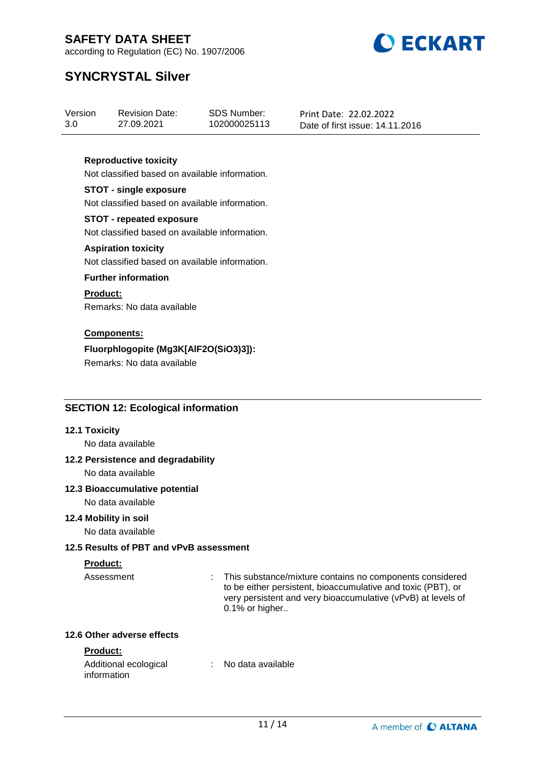



# **SYNCRYSTAL Silver**

| Version | <b>Revision Date:</b> | SDS Number:  | Print Date: 22.02.2022          |
|---------|-----------------------|--------------|---------------------------------|
| 3.0     | 27.09.2021            | 102000025113 | Date of first issue: 14.11.2016 |

### **Reproductive toxicity**

Not classified based on available information.

#### **STOT - single exposure**

Not classified based on available information.

### **STOT - repeated exposure**

Not classified based on available information.

#### **Aspiration toxicity**

Not classified based on available information.

#### **Further information**

#### **Product:**

Remarks: No data available

### **Components:**

## **Fluorphlogopite (Mg3K[AlF2O(SiO3)3]):**

Remarks: No data available

## **SECTION 12: Ecological information**

### **12.1 Toxicity**

No data available

### **12.2 Persistence and degradability**

No data available

### **12.3 Bioaccumulative potential**

No data available

## **12.4 Mobility in soil**

No data available

### **12.5 Results of PBT and vPvB assessment**

### **Product:**

Assessment : This substance/mixture contains no components considered to be either persistent, bioaccumulative and toxic (PBT), or very persistent and very bioaccumulative (vPvB) at levels of 0.1% or higher..

#### **12.6 Other adverse effects**

### **Product:**

| Additional ecological | No data available |
|-----------------------|-------------------|
| information           |                   |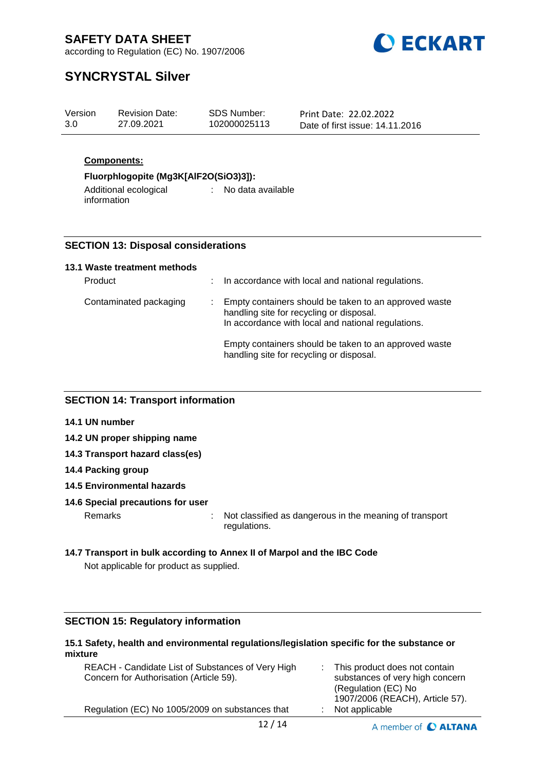

according to Regulation (EC) No. 1907/2006

# **SYNCRYSTAL Silver**

| Version<br>SDS Number:<br><b>Revision Date:</b><br>Print Date: 22.02.2022<br>3.0<br>102000025113<br>27.09.2021<br>Date of first issue: 14.11.2016 |  |
|---------------------------------------------------------------------------------------------------------------------------------------------------|--|
|---------------------------------------------------------------------------------------------------------------------------------------------------|--|

## **Components:**

## **Fluorphlogopite (Mg3K[AlF2O(SiO3)3]):**

Additional ecological : No data available information

# **SECTION 13: Disposal considerations**

#### **13.1 Waste treatment methods**

| Product                | In accordance with local and national regulations.                                                                                                      |
|------------------------|---------------------------------------------------------------------------------------------------------------------------------------------------------|
| Contaminated packaging | Empty containers should be taken to an approved waste<br>handling site for recycling or disposal.<br>In accordance with local and national regulations. |
|                        | Empty containers should be taken to an approved waste<br>handling site for recycling or disposal.                                                       |

### **SECTION 14: Transport information**

- **14.1 UN number**
- **14.2 UN proper shipping name**
- **14.3 Transport hazard class(es)**
- **14.4 Packing group**
- **14.5 Environmental hazards**
- **14.6 Special precautions for user**

Remarks : Not classified as dangerous in the meaning of transport regulations.

## **14.7 Transport in bulk according to Annex II of Marpol and the IBC Code**

Not applicable for product as supplied.

### **SECTION 15: Regulatory information**

#### **15.1 Safety, health and environmental regulations/legislation specific for the substance or mixture** REACH - Candidate List of Substances of Very High : This product does not contain

| 12/1 <i>1</i>                                     | $\sim$ $\sim$ $\sim$ $\sim$ $\sim$ $\sim$ $\sim$       |
|---------------------------------------------------|--------------------------------------------------------|
| Regulation (EC) No 1005/2009 on substances that   | 1907/2006 (REACH), Article 57).<br>$:$ Not applicable  |
| Concern for Authorisation (Article 59).           | substances of very high concern<br>(Regulation (EC) No |
| REACH - Candidate List of Substances of Very High | $\therefore$ This product does not contain             |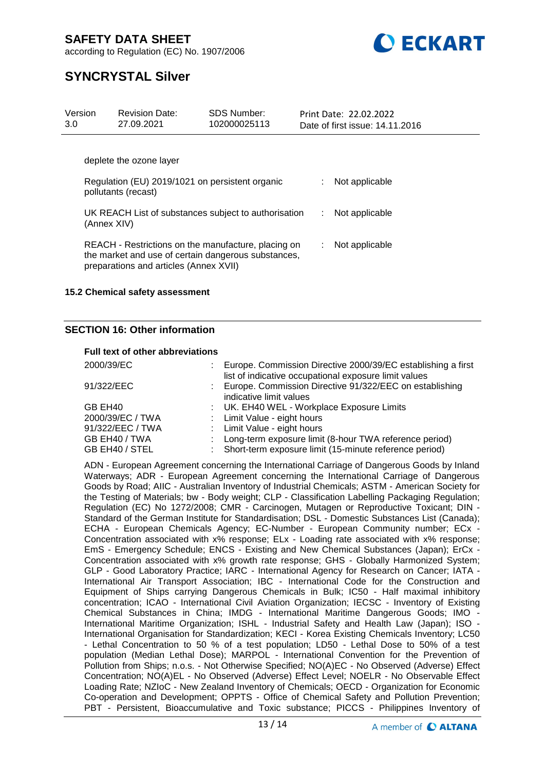

according to Regulation (EC) No. 1907/2006

# **SYNCRYSTAL Silver**

| Version<br>3.0                                                         | <b>Revision Date:</b><br>27.09.2021    | <b>SDS Number:</b><br>102000025113                                                                         |  |                | Print Date: 22.02.2022<br>Date of first issue: 14.11.2016 |
|------------------------------------------------------------------------|----------------------------------------|------------------------------------------------------------------------------------------------------------|--|----------------|-----------------------------------------------------------|
|                                                                        | deplete the ozone layer                |                                                                                                            |  |                |                                                           |
| Regulation (EU) 2019/1021 on persistent organic<br>pollutants (recast) |                                        |                                                                                                            |  | Not applicable |                                                           |
| (Annex XIV)                                                            |                                        | UK REACH List of substances subject to authorisation                                                       |  | ÷.             | Not applicable                                            |
|                                                                        | preparations and articles (Annex XVII) | REACH - Restrictions on the manufacture, placing on<br>the market and use of certain dangerous substances, |  | ÷.             | Not applicable                                            |

### **15.2 Chemical safety assessment**

### **SECTION 16: Other information**

#### **Full text of other abbreviations**

| 2000/39/EC          | Europe. Commission Directive 2000/39/EC establishing a first |
|---------------------|--------------------------------------------------------------|
|                     | list of indicative occupational exposure limit values        |
| 91/322/EEC          | Europe. Commission Directive 91/322/EEC on establishing      |
|                     | indicative limit values                                      |
| GB EH <sub>40</sub> | : UK. EH40 WEL - Workplace Exposure Limits                   |
| 2000/39/EC / TWA    | : Limit Value - eight hours                                  |
| 91/322/EEC / TWA    | : Limit Value - eight hours                                  |
| GB EH40 / TWA       | Long-term exposure limit (8-hour TWA reference period)       |
| GB EH40 / STEL      | Short-term exposure limit (15-minute reference period)       |

ADN - European Agreement concerning the International Carriage of Dangerous Goods by Inland Waterways; ADR - European Agreement concerning the International Carriage of Dangerous Goods by Road; AIIC - Australian Inventory of Industrial Chemicals; ASTM - American Society for the Testing of Materials; bw - Body weight; CLP - Classification Labelling Packaging Regulation; Regulation (EC) No 1272/2008; CMR - Carcinogen, Mutagen or Reproductive Toxicant; DIN - Standard of the German Institute for Standardisation; DSL - Domestic Substances List (Canada); ECHA - European Chemicals Agency; EC-Number - European Community number; ECx - Concentration associated with x% response; ELx - Loading rate associated with x% response; EmS - Emergency Schedule; ENCS - Existing and New Chemical Substances (Japan); ErCx - Concentration associated with x% growth rate response; GHS - Globally Harmonized System; GLP - Good Laboratory Practice; IARC - International Agency for Research on Cancer; IATA - International Air Transport Association; IBC - International Code for the Construction and Equipment of Ships carrying Dangerous Chemicals in Bulk; IC50 - Half maximal inhibitory concentration; ICAO - International Civil Aviation Organization; IECSC - Inventory of Existing Chemical Substances in China; IMDG - International Maritime Dangerous Goods; IMO - International Maritime Organization; ISHL - Industrial Safety and Health Law (Japan); ISO - International Organisation for Standardization; KECI - Korea Existing Chemicals Inventory; LC50 - Lethal Concentration to 50 % of a test population; LD50 - Lethal Dose to 50% of a test population (Median Lethal Dose); MARPOL - International Convention for the Prevention of Pollution from Ships; n.o.s. - Not Otherwise Specified; NO(A)EC - No Observed (Adverse) Effect Concentration; NO(A)EL - No Observed (Adverse) Effect Level; NOELR - No Observable Effect Loading Rate; NZIoC - New Zealand Inventory of Chemicals; OECD - Organization for Economic Co-operation and Development; OPPTS - Office of Chemical Safety and Pollution Prevention; PBT - Persistent, Bioaccumulative and Toxic substance; PICCS - Philippines Inventory of